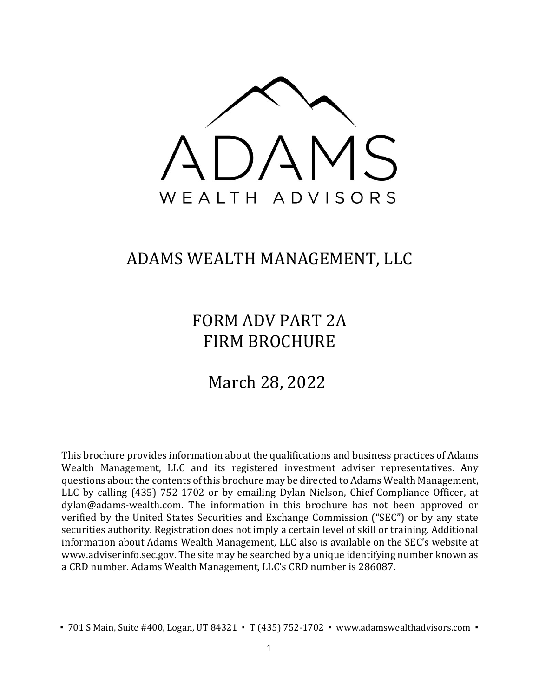

## ADAMS WEALTH MANAGEMENT, LLC

# FORM ADV PART 2A FIRM BROCHURE

# March 28, 2022

This brochure provides information about the qualifications and business practices of Adams Wealth Management, LLC and its registered investment adviser representatives. Any questions about the contents of this brochure may be directed to Adams Wealth Management, LLC by calling (435) 752-1702 or by emailing Dylan Nielson, Chief Compliance Officer, at dylan@adams-wealth.com. The information in this brochure has not been approved or verified by the United States Securities and Exchange Commission ("SEC") or by any state securities authority. Registration does not imply a certain level of skill or training. Additional information about Adams Wealth Management, LLC also is available on the SEC's website at [www.adviserinfo.sec.gov. T](http://www.adviserinfo.sec.gov/)he site may be searched by a unique identifying number known as a CRD number. Adams Wealth Management, LLC's CRD number is 286087.

■ 701 S Main, Suite #400, Logan, UT 84321 • T (435) 752-1702 • www.adamswealthadvisors.com •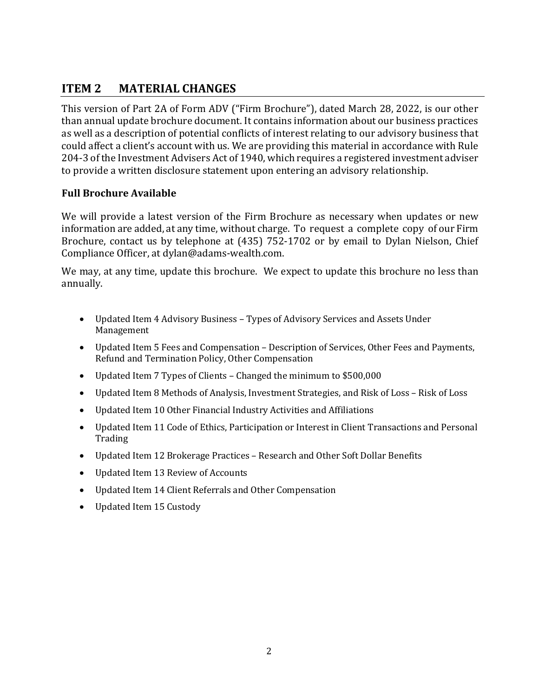## <span id="page-1-0"></span>**ITEM 2 MATERIAL CHANGES**

This version of Part 2A of Form ADV ("Firm Brochure"), dated March 28, 2022, is our other than annual update brochure document. It contains information about our business practices as well as a description of potential conflicts of interest relating to our advisory business that could affect a client's account with us. We are providing this material in accordance with Rule 204-3 of the Investment Advisers Act of 1940, which requires a registered investment adviser to provide a written disclosure statement upon entering an advisory relationship.

#### **Full Brochure Available**

We will provide a latest version of the Firm Brochure as necessary when updates or new information are added, at any time, without charge. To request a complete copy of our Firm Brochure, contact [us by telephone at \(435](mailto:dylan@adams-wealth.com)) 752-1702 or by email to Dylan Nielson, Chief Compliance Officer, at [dylan@adams-wealth.com.](mailto:dylan@adams-wealth.com)

We may, at any time, update this brochure. We expect to update this brochure no less than annually.

- Updated Item 4 Advisory Business Types of Advisory Services and Assets Under Management
- Updated Item 5 Fees and Compensation Description of Services, Other Fees and Payments, Refund and Termination Policy, Other Compensation
- Updated Item 7 Types of Clients Changed the minimum to \$500,000
- Updated Item 8 Methods of Analysis, Investment Strategies, and Risk of Loss Risk of Loss
- Updated Item 10 Other Financial Industry Activities and Affiliations
- Updated Item 11 Code of Ethics, Participation or Interest in Client Transactions and Personal **Trading**
- Updated Item 12 Brokerage Practices Research and Other Soft Dollar Benefits
- Updated Item 13 Review of Accounts
- Updated Item 14 Client Referrals and Other Compensation
- Updated Item 15 Custody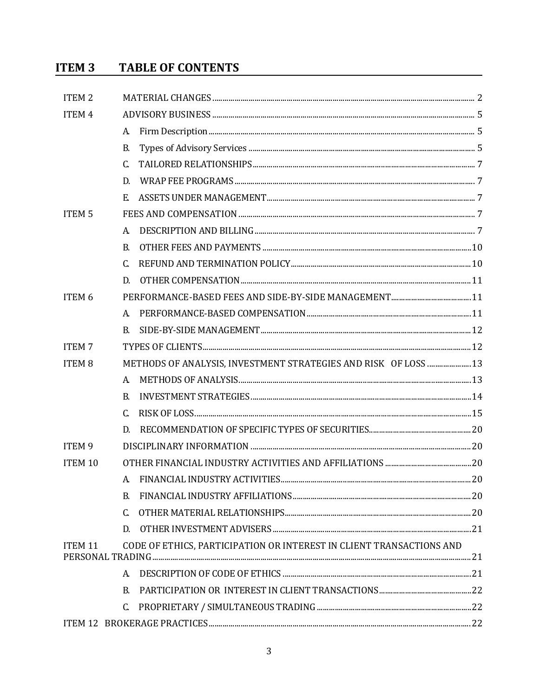#### **TABLE OF CONTENTS ITEM 3**

| <b>ITEM2</b>       |              |                                                                      |  |  |
|--------------------|--------------|----------------------------------------------------------------------|--|--|
| <b>ITEM4</b>       |              |                                                                      |  |  |
|                    | A.           |                                                                      |  |  |
|                    | B.           |                                                                      |  |  |
|                    | $\mathsf{C}$ |                                                                      |  |  |
|                    | D.           |                                                                      |  |  |
|                    | E.           |                                                                      |  |  |
| ITEM <sub>5</sub>  |              |                                                                      |  |  |
|                    | A.           |                                                                      |  |  |
|                    | B.           |                                                                      |  |  |
|                    | C.           |                                                                      |  |  |
|                    | D.           |                                                                      |  |  |
| ITEM 6             |              |                                                                      |  |  |
|                    | A.           |                                                                      |  |  |
|                    | B.           |                                                                      |  |  |
| <b>ITEM7</b>       |              |                                                                      |  |  |
| <b>ITEM8</b>       |              | METHODS OF ANALYSIS, INVESTMENT STRATEGIES AND RISK OF LOSS  13      |  |  |
|                    | A.           |                                                                      |  |  |
|                    | <b>B.</b>    |                                                                      |  |  |
|                    | C.           |                                                                      |  |  |
|                    | D.           |                                                                      |  |  |
| ITEM <sub>9</sub>  |              |                                                                      |  |  |
| <b>ITEM 10</b>     |              |                                                                      |  |  |
|                    | A.           |                                                                      |  |  |
|                    | B.           |                                                                      |  |  |
|                    | C.           |                                                                      |  |  |
|                    | D.           |                                                                      |  |  |
| ITEM <sub>11</sub> |              | CODE OF ETHICS, PARTICIPATION OR INTEREST IN CLIENT TRANSACTIONS AND |  |  |
|                    | A.           |                                                                      |  |  |
|                    | B.           |                                                                      |  |  |
|                    | C.           |                                                                      |  |  |
|                    |              |                                                                      |  |  |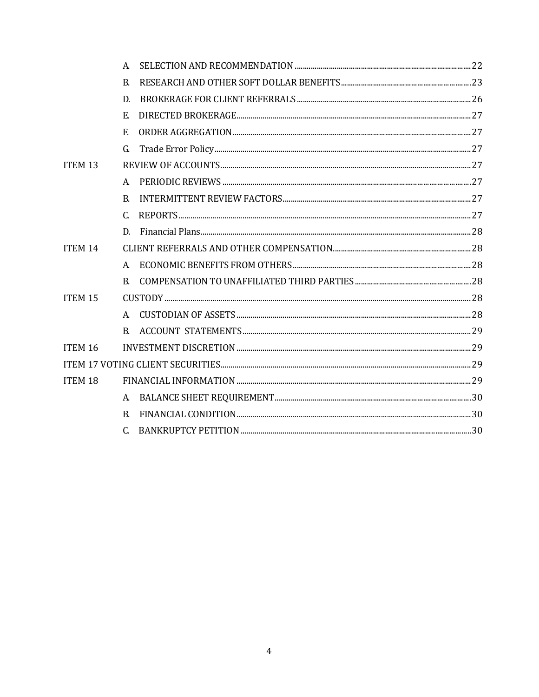|                    | A.           |  |
|--------------------|--------------|--|
|                    | B.           |  |
|                    | D.           |  |
|                    | E.           |  |
|                    | F.           |  |
|                    | G.           |  |
| ITEM <sub>13</sub> |              |  |
|                    | A.           |  |
|                    | B.           |  |
|                    | C.           |  |
|                    | D.           |  |
| ITEM 14            |              |  |
|                    | $\mathsf{A}$ |  |
|                    | B.           |  |
| ITEM 15            |              |  |
|                    | $A_{-}$      |  |
|                    | B.           |  |
| ITEM 16            |              |  |
|                    |              |  |
| <b>ITEM 18</b>     |              |  |
|                    | A.           |  |
|                    | B.           |  |
|                    | C.           |  |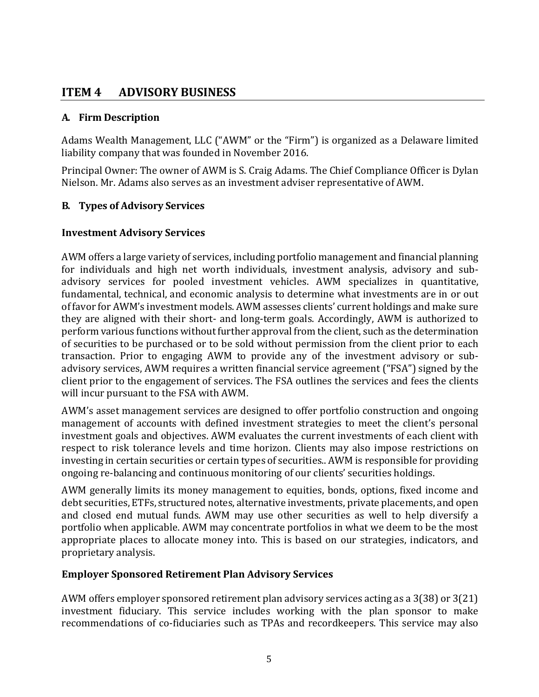### <span id="page-4-0"></span>**ITEM 4 ADVISORY BUSINESS**

### <span id="page-4-1"></span>**A. Firm Description**

Adams Wealth Management, LLC ("AWM" or the "Firm") is organized as a Delaware limited liability company that was founded in November 2016.

Principal Owner: The owner of AWM is S. Craig Adams. The Chief Compliance Officer is Dylan Nielson. Mr. Adams also serves as an investment adviser representative of AWM.

#### <span id="page-4-2"></span>**B. Types of Advisory Services**

#### **Investment Advisory Services**

AWM offers a large variety of services, including portfolio management and financial planning for individuals and high net worth individuals, investment analysis, advisory and subadvisory services for pooled investment vehicles. AWM specializes in quantitative, fundamental, technical, and economic analysis to determine what investments are in or out of favor for AWM's investment models. AWM assesses clients' current holdings and make sure they are aligned with their short- and long-term goals. Accordingly, AWM is authorized to perform various functions without further approval from the client, such as the determination of securities to be purchased or to be sold without permission from the client prior to each transaction. Prior to engaging AWM to provide any of the investment advisory or subadvisory services, AWM requires a written financial service agreement ("FSA") signed by the client prior to the engagement of services. The FSA outlines the services and fees the clients will incur pursuant to the FSA with AWM.

AWM's asset management services are designed to offer portfolio construction and ongoing management of accounts with defined investment strategies to meet the client's personal investment goals and objectives. AWM evaluates the current investments of each client with respect to risk tolerance levels and time horizon. Clients may also impose restrictions on investing in certain securities or certain types of securities.. AWM is responsible for providing ongoing re-balancing and continuous monitoring of our clients' securities holdings.

AWM generally limits its money management to equities, bonds, options, fixed income and debt securities, ETFs, structured notes, alternative investments, private placements, and open and closed end mutual funds. AWM may use other securities as well to help diversify a portfolio when applicable. AWM may concentrate portfolios in what we deem to be the most appropriate places to allocate money into. This is based on our strategies, indicators, and proprietary analysis.

### **Employer Sponsored Retirement Plan Advisory Services**

AWM offers employer sponsored retirement plan advisory services acting as a 3(38) or 3(21) investment fiduciary. This service includes working with the plan sponsor to make recommendations of co-fiduciaries such as TPAs and recordkeepers. This service may also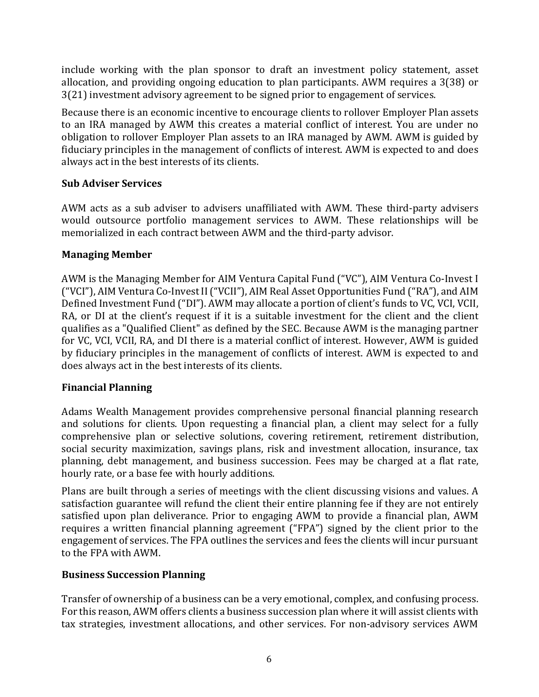include working with the plan sponsor to draft an investment policy statement, asset allocation, and providing ongoing education to plan participants. AWM requires a 3(38) or 3(21) investment advisory agreement to be signed prior to engagement of services.

Because there is an economic incentive to encourage clients to rollover Employer Plan assets to an IRA managed by AWM this creates a material conflict of interest. You are under no obligation to rollover Employer Plan assets to an IRA managed by AWM. AWM is guided by fiduciary principles in the management of conflicts of interest. AWM is expected to and does always act in the best interests of its clients.

### **Sub Adviser Services**

AWM acts as a sub adviser to advisers unaffiliated with AWM. These third-party advisers would outsource portfolio management services to AWM. These relationships will be memorialized in each contract between AWM and the third-party advisor.

#### **Managing Member**

AWM is the Managing Member for AIM Ventura Capital Fund ("VC"), AIM Ventura Co-Invest I ("VCI"), AIM Ventura Co-Invest II ("VCII"), AIM Real Asset Opportunities Fund ("RA"), and AIM Defined Investment Fund ("DI"). AWM may allocate a portion of client's funds to VC, VCI, VCII, RA, or DI at the client's request if it is a suitable investment for the client and the client qualifies as a "Qualified Client" as defined by the SEC. Because AWM is the managing partner for VC, VCI, VCII, RA, and DI there is a material conflict of interest. However, AWM is guided by fiduciary principles in the management of conflicts of interest. AWM is expected to and does always act in the best interests of its clients.

### **Financial Planning**

Adams Wealth Management provides comprehensive personal financial planning research and solutions for clients. Upon requesting a financial plan, a client may select for a fully comprehensive plan or selective solutions, covering retirement, retirement distribution, social security maximization, savings plans, risk and investment allocation, insurance, tax planning, debt management, and business succession. Fees may be charged at a flat rate, hourly rate, or a base fee with hourly additions.

Plans are built through a series of meetings with the client discussing visions and values. A satisfaction guarantee will refund the client their entire planning fee if they are not entirely satisfied upon plan deliverance. Prior to engaging AWM to provide a financial plan, AWM requires a written financial planning agreement ("FPA") signed by the client prior to the engagement of services. The FPA outlines the services and fees the clients will incur pursuant to the FPA with AWM.

### **Business Succession Planning**

Transfer of ownership of a business can be a very emotional, complex, and confusing process. For this reason, AWM offers clients a business succession plan where it will assist clients with tax strategies, investment allocations, and other services. For non-advisory services AWM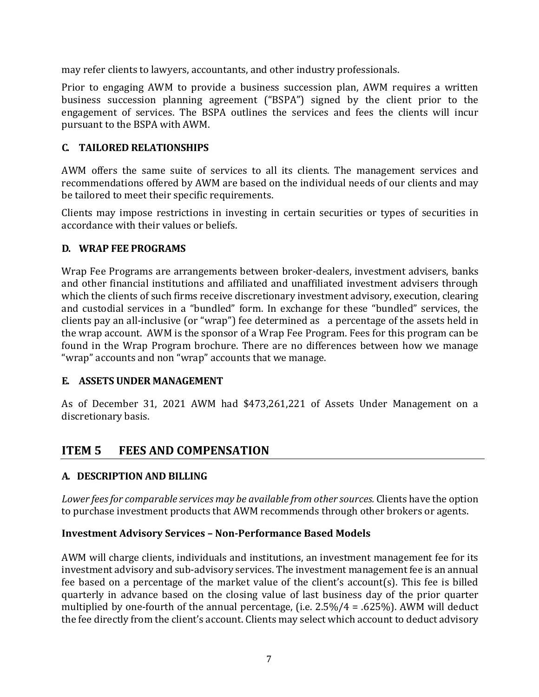may refer clients to lawyers, accountants, and other industry professionals.

Prior to engaging AWM to provide a business succession plan, AWM requires a written business succession planning agreement ("BSPA") signed by the client prior to the engagement of services. The BSPA outlines the services and fees the clients will incur pursuant to the BSPA with AWM.

### <span id="page-6-0"></span>**C. TAILORED RELATIONSHIPS**

AWM offers the same suite of services to all its clients. The management services and recommendations offered by AWM are based on the individual needs of our clients and may be tailored to meet their specific requirements.

Clients may impose restrictions in investing in certain securities or types of securities in accordance with their values or beliefs.

### <span id="page-6-1"></span>**D. WRAP FEE PROGRAMS**

Wrap Fee Programs are arrangements between broker-dealers, investment advisers, banks and other financial institutions and affiliated and unaffiliated investment advisers through which the clients of such firms receive discretionary investment advisory, execution, clearing and custodial services in a "bundled" form. In exchange for these "bundled" services, the clients pay an all-inclusive (or "wrap") fee determined as a percentage of the assets held in the wrap account. AWM is the sponsor of a Wrap Fee Program. Fees for this program can be found in the Wrap Program brochure. There are no differences between how we manage "wrap" accounts and non "wrap" accounts that we manage.

### <span id="page-6-2"></span>**E. ASSETS UNDER MANAGEMENT**

As of December 31, 2021 AWM had \$473,261,221 of Assets Under Management on a discretionary basis.

## <span id="page-6-3"></span>**ITEM 5 FEES AND COMPENSATION**

### <span id="page-6-4"></span>**A. DESCRIPTION AND BILLING**

*Lower fees for comparable services may be available from other sources.* Clients have the option to purchase investment products that AWM recommends through other brokers or agents.

### **Investment Advisory Services – Non-Performance Based Models**

AWM will charge clients, individuals and institutions, an investment management fee for its investment advisory and sub-advisory services. The investment management fee is an annual fee based on a percentage of the market value of the client's account(s). This fee is billed quarterly in advance based on the closing value of last business day of the prior quarter multiplied by one-fourth of the annual percentage, (i.e.  $2.5\%/4 = .625\%$ ). AWM will deduct the fee directly from the client's account. Clients may select which account to deduct advisory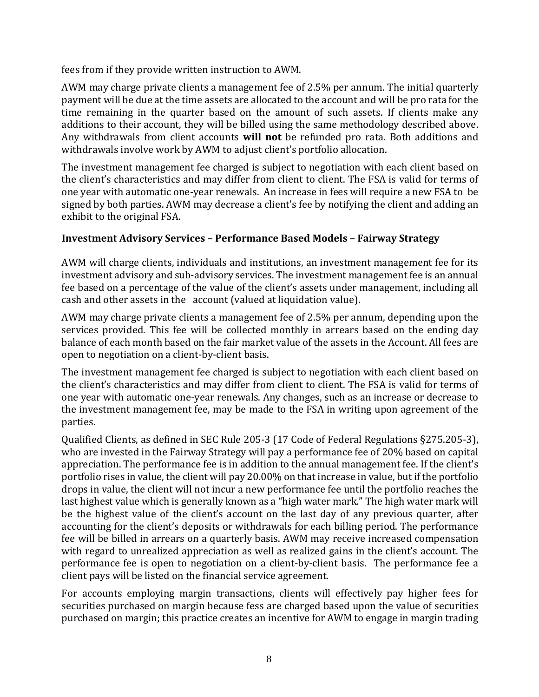fees from if they provide written instruction to AWM.

AWM may charge private clients a management fee of 2.5% per annum. The initial quarterly payment will be due at the time assets are allocated to the account and will be pro rata for the time remaining in the quarter based on the amount of such assets. If clients make any additions to their account, they will be billed using the same methodology described above. Any withdrawals from client accounts **will not** be refunded pro rata. Both additions and withdrawals involve work by AWM to adjust client's portfolio allocation.

The investment management fee charged is subject to negotiation with each client based on the client's characteristics and may differ from client to client. The FSA is valid for terms of one year with automatic one-year renewals. An increase in fees will require a new FSA to be signed by both parties. AWM may decrease a client's fee by notifying the client and adding an exhibit to the original FSA.

### **Investment Advisory Services – Performance Based Models – Fairway Strategy**

AWM will charge clients, individuals and institutions, an investment management fee for its investment advisory and sub-advisory services. The investment management fee is an annual fee based on a percentage of the value of the client's assets under management, including all cash and other assets in the account (valued at liquidation value).

AWM may charge private clients a management fee of 2.5% per annum, depending upon the services provided. This fee will be collected monthly in arrears based on the ending day balance of each month based on the fair market value of the assets in the Account. All fees are open to negotiation on a client-by-client basis.

The investment management fee charged is subject to negotiation with each client based on the client's characteristics and may differ from client to client. The FSA is valid for terms of one year with automatic one-year renewals. Any changes, such as an increase or decrease to the investment management fee, may be made to the FSA in writing upon agreement of the parties.

Qualified Clients, as defined in SEC Rule 205-3 (17 Code of Federal Regulations §275.205-3), who are invested in the Fairway Strategy will pay a performance fee of 20% based on capital appreciation. The performance fee is in addition to the annual management fee. If the client's portfolio rises in value, the client will pay 20.00% on that increase in value, but if the portfolio drops in value, the client will not incur a new performance fee until the portfolio reaches the last highest value which is generally known as a "high water mark." The high water mark will be the highest value of the client's account on the last day of any previous quarter, after accounting for the client's deposits or withdrawals for each billing period. The performance fee will be billed in arrears on a quarterly basis. AWM may receive increased compensation with regard to unrealized appreciation as well as realized gains in the client's account. The performance fee is open to negotiation on a client-by-client basis. The performance fee a client pays will be listed on the financial service agreement.

For accounts employing margin transactions, clients will effectively pay higher fees for securities purchased on margin because fess are charged based upon the value of securities purchased on margin; this practice creates an incentive for AWM to engage in margin trading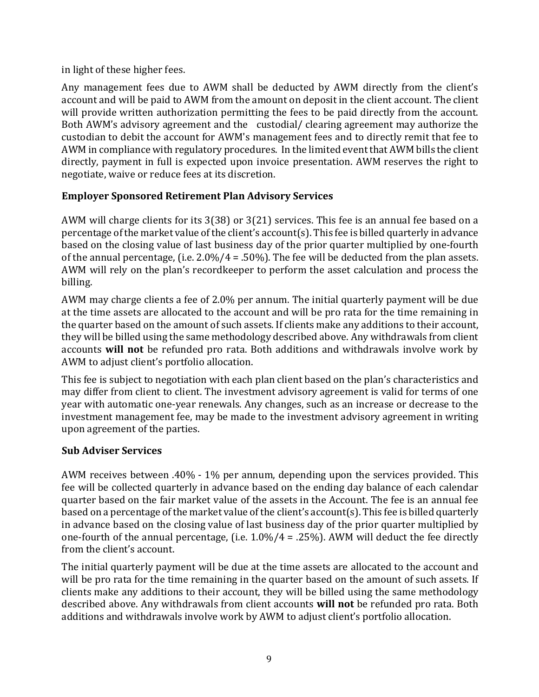in light of these higher fees.

Any management fees due to AWM shall be deducted by AWM directly from the client's account and will be paid to AWM from the amount on deposit in the client account. The client will provide written authorization permitting the fees to be paid directly from the account. Both AWM's advisory agreement and the custodial/ clearing agreement may authorize the custodian to debit the account for AWM's management fees and to directly remit that fee to AWM in compliance with regulatory procedures. In the limited event that AWM bills the client directly, payment in full is expected upon invoice presentation. AWM reserves the right to negotiate, waive or reduce fees at its discretion.

### **Employer Sponsored Retirement Plan Advisory Services**

AWM will charge clients for its 3(38) or 3(21) services. This fee is an annual fee based on a percentage of the market value of the client's account(s). This fee is billed quarterly in advance based on the closing value of last business day of the prior quarter multiplied by one-fourth of the annual percentage, (i.e.  $2.0\%/4 = .50\%)$ ). The fee will be deducted from the plan assets. AWM will rely on the plan's recordkeeper to perform the asset calculation and process the billing.

AWM may charge clients a fee of 2.0% per annum. The initial quarterly payment will be due at the time assets are allocated to the account and will be pro rata for the time remaining in the quarter based on the amount of such assets. If clients make any additions to their account, they will be billed using the same methodology described above. Any withdrawals from client accounts **will not** be refunded pro rata. Both additions and withdrawals involve work by AWM to adjust client's portfolio allocation.

This fee is subject to negotiation with each plan client based on the plan's characteristics and may differ from client to client. The investment advisory agreement is valid for terms of one year with automatic one-year renewals. Any changes, such as an increase or decrease to the investment management fee, may be made to the investment advisory agreement in writing upon agreement of the parties.

### **Sub Adviser Services**

AWM receives between .40% - 1% per annum, depending upon the services provided. This fee will be collected quarterly in advance based on the ending day balance of each calendar quarter based on the fair market value of the assets in the Account. The fee is an annual fee based on a percentage of the market value of the client's account(s). This fee is billed quarterly in advance based on the closing value of last business day of the prior quarter multiplied by one-fourth of the annual percentage, (i.e. 1.0%/4 = .25%). AWM will deduct the fee directly from the client's account.

The initial quarterly payment will be due at the time assets are allocated to the account and will be pro rata for the time remaining in the quarter based on the amount of such assets. If clients make any additions to their account, they will be billed using the same methodology described above. Any withdrawals from client accounts **will not** be refunded pro rata. Both additions and withdrawals involve work by AWM to adjust client's portfolio allocation.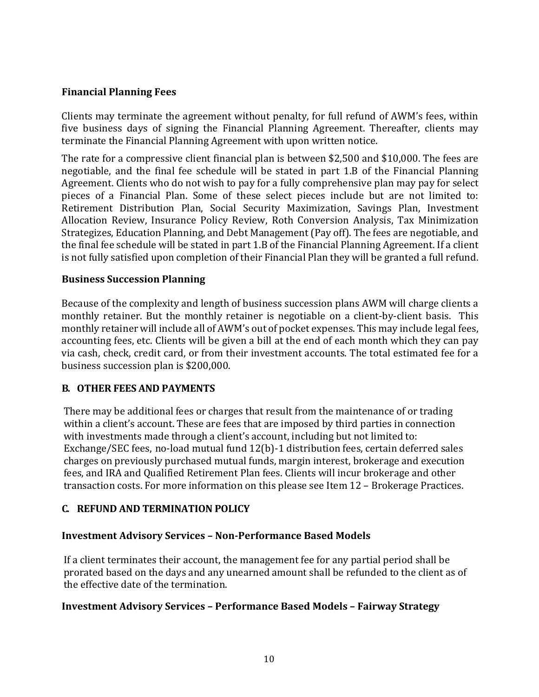#### **Financial Planning Fees**

Clients may terminate the agreement without penalty, for full refund of AWM's fees, within five business days of signing the Financial Planning Agreement. Thereafter, clients may terminate the Financial Planning Agreement with upon written notice.

The rate for a compressive client financial plan is between \$2,500 and \$10,000. The fees are negotiable, and the final fee schedule will be stated in part 1.B of the Financial Planning Agreement. Clients who do not wish to pay for a fully comprehensive plan may pay for select pieces of a Financial Plan. Some of these select pieces include but are not limited to: Retirement Distribution Plan, Social Security Maximization, Savings Plan, Investment Allocation Review, Insurance Policy Review, Roth Conversion Analysis, Tax Minimization Strategizes, Education Planning, and Debt Management (Pay off). The fees are negotiable, and the final fee schedule will be stated in part 1.B of the Financial Planning Agreement. If a client is not fully satisfied upon completion of their Financial Plan they will be granted a full refund.

#### **Business Succession Planning**

Because of the complexity and length of business succession plans AWM will charge clients a monthly retainer. But the monthly retainer is negotiable on a client-by-client basis. This monthly retainer will include all of AWM's out of pocket expenses. This may include legal fees, accounting fees, etc. Clients will be given a bill at the end of each month which they can pay via cash, check, credit card, or from their investment accounts. The total estimated fee for a business succession plan is \$200,000.

#### <span id="page-9-0"></span>**B. OTHER FEES AND PAYMENTS**

There may be additional fees or charges that result from the maintenance of or trading within a client's account. These are fees that are imposed by third parties in connection with investments made through a client's account, including but not limited to: Exchange/SEC fees, no-load mutual fund 12(b)-1 distribution fees, certain deferred sales charges on previously purchased mutual funds, margin interest, brokerage and execution fees, and IRA and Qualified Retirement Plan fees. Clients will incur brokerage and other transaction costs. For more information on this please see Item 12 – Brokerage Practices.

### <span id="page-9-1"></span>**C. REFUND AND TERMINATION POLICY**

#### **Investment Advisory Services – Non-Performance Based Models**

If a client terminates their account, the management fee for any partial period shall be prorated based on the days and any unearned amount shall be refunded to the client as of the effective date of the termination.

#### **Investment Advisory Services – Performance Based Models – Fairway Strategy**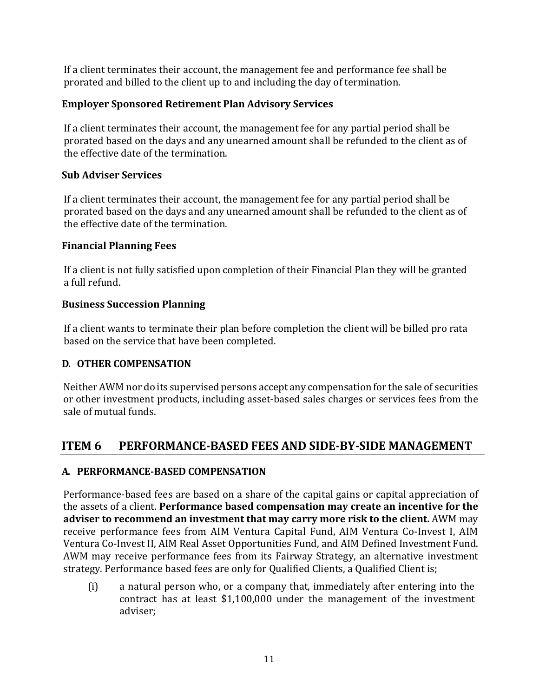If a client terminates their account, the management fee and performance fee shall be prorated and billed to the client up to and including the day of termination.

### **Employer Sponsored Retirement Plan Advisory Services**

If a client terminates their account, the management fee for any partial period shall be prorated based on the days and any unearned amount shall be refunded to the client as of the effective date of the termination.

### **Sub Adviser Services**

If a client terminates their account, the management fee for any partial period shall be prorated based on the days and any unearned amount shall be refunded to the client as of the effective date of the termination.

### **Financial Planning Fees**

If a client is not fully satisfied upon completion of their Financial Plan they will be granted a full refund.

### **Business Succession Planning**

If a client wants to terminate their plan before completion the client will be billed pro rata based on the service that have been completed.

### <span id="page-10-0"></span>**D. OTHER COMPENSATION**

Neither AWM nor do its supervised persons accept any compensation for the sale of securities or other investment products, including asset-based sales charges or services fees from the sale of mutual funds.

## <span id="page-10-1"></span>**ITEM 6 PERFORMANCE-BASED FEES AND SIDE-BY-SIDE MANAGEMENT**

### <span id="page-10-2"></span>**A. PERFORMANCE-BASED COMPENSATION**

Performance-based fees are based on a share of the capital gains or capital appreciation of the assets of a client. **Performance based compensation may create an incentive for the adviser to recommend an investment that may carry more risk to the client.** AWM may receive performance fees from AIM Ventura Capital Fund, AIM Ventura Co-Invest I, AIM Ventura Co-Invest II, AIM Real Asset Opportunities Fund, and AIM Defined Investment Fund. AWM may receive performance fees from its Fairway Strategy, an alternative investment strategy. Performance based fees are only for Qualified Clients, a Qualified Client is;

(i) a natural person who, or a company that, immediately after entering into the contract has at least \$1,100,000 under the management of the investment adviser;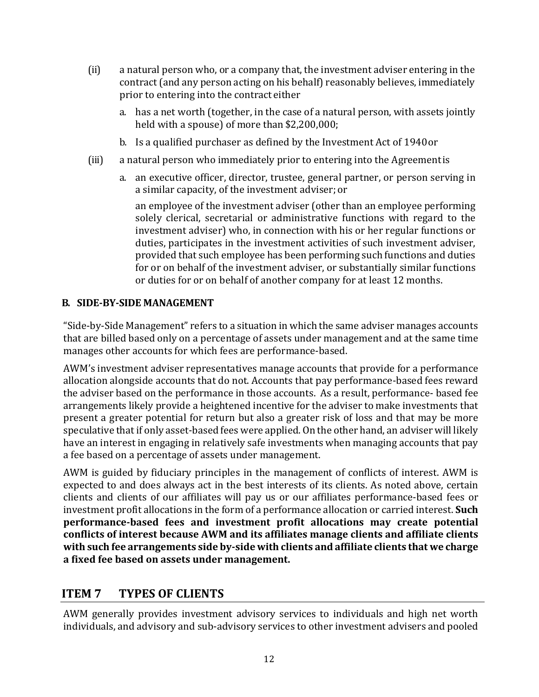- (ii) a natural person who, or a company that, the investment adviser entering in the contract (and any person acting on his behalf) reasonably believes, immediately prior to entering into the contract either
	- a. has a net worth (together, in the case of a natural person, with assets jointly held with a spouse) of more than \$2,200,000;
	- b. Is a qualified purchaser as defined by the Investment Act of 1940or
- (iii) a natural person who immediately prior to entering into the Agreementis
	- a. an executive officer, director, trustee, general partner, or person serving in a similar capacity, of the investment adviser; or

an employee of the investment adviser (other than an employee performing solely clerical, secretarial or administrative functions with regard to the investment adviser) who, in connection with his or her regular functions or duties, participates in the investment activities of such investment adviser, provided that such employee has been performing such functions and duties for or on behalf of the investment adviser, or substantially similar functions or duties for or on behalf of another company for at least 12 months.

### <span id="page-11-0"></span>**B. SIDE-BY-SIDE MANAGEMENT**

"Side-by-Side Management" refers to a situation in which the same adviser manages accounts that are billed based only on a percentage of assets under management and at the same time manages other accounts for which fees are performance-based.

AWM's investment adviser representatives manage accounts that provide for a performance allocation alongside accounts that do not. Accounts that pay performance-based fees reward the adviser based on the performance in those accounts. As a result, performance- based fee arrangements likely provide a heightened incentive for the adviser to make investments that present a greater potential for return but also a greater risk of loss and that may be more speculative that if only asset-based fees were applied. On the other hand, an adviser will likely have an interest in engaging in relatively safe investments when managing accounts that pay a fee based on a percentage of assets under management.

AWM is guided by fiduciary principles in the management of conflicts of interest. AWM is expected to and does always act in the best interests of its clients. As noted above, certain clients and clients of our affiliates will pay us or our affiliates performance-based fees or investment profit allocations in the form of a performance allocation or carried interest. **Such performance-based fees and investment profit allocations may create potential conflicts of interest because AWM and its affiliates manage clients and affiliate clients with such fee arrangements side by-side with clients and affiliate clients that we charge a fixed fee based on assets under management.**

### <span id="page-11-1"></span>**ITEM 7 TYPES OF CLIENTS**

AWM generally provides investment advisory services to individuals and high net worth individuals, and advisory and sub-advisory services to other investment advisers and pooled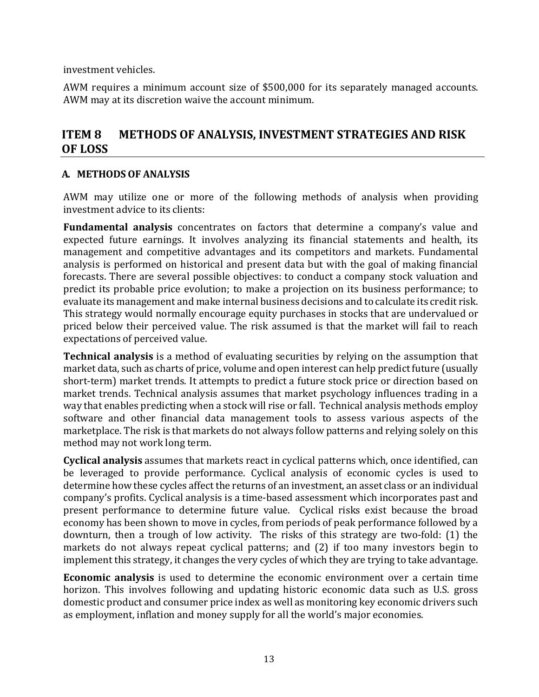investment vehicles.

AWM requires a minimum account size of \$500,000 for its separately managed accounts. AWM may at its discretion waive the account minimum.

### <span id="page-12-0"></span>**ITEM 8 METHODS OF ANALYSIS, INVESTMENT STRATEGIES AND RISK OF LOSS**

#### <span id="page-12-1"></span>**A. METHODS OF ANALYSIS**

AWM may utilize one or more of the following methods of analysis when providing investment advice to its clients:

**Fundamental analysis** concentrates on factors that determine a company's value and expected future earnings. It involves analyzing its financial statements and health, its management and competitive advantages and its competitors and markets. Fundamental analysis is performed on historical and present data but with the goal of making financial forecasts. There are several possible objectives: to conduct a company stock valuation and predict its probable price evolution; to make a projection on its business performance; to evaluate its management and make internal business decisions and to calculate its credit risk. This strategy would normally encourage equity purchases in stocks that are undervalued or priced below their perceived value. The risk assumed is that the market will fail to reach expectations of perceived value.

**Technical analysis** is a method of evaluating securities by relying on the assumption that market data, such as charts of price, volume and open interest can help predict future (usually short-term) market trends. It attempts to predict a future stock price or direction based on market trends. Technical analysis assumes that market psychology influences trading in a way that enables predicting when a stock will rise or fall. Technical analysis methods employ software and other financial data management tools to assess various aspects of the marketplace. The risk is that markets do not always follow patterns and relying solely on this method may not work long term.

**Cyclical analysis** assumes that markets react in cyclical patterns which, once identified, can be leveraged to provide performance. Cyclical analysis of economic cycles is used to determine how these cycles affect the returns of an investment, an asset class or an individual company's profits. Cyclical analysis is a time-based assessment which incorporates past and present performance to determine future value. Cyclical risks exist because the broad economy has been shown to move in cycles, from periods of peak performance followed by a downturn, then a trough of low activity. The risks of this strategy are two-fold: (1) the markets do not always repeat cyclical patterns; and (2) if too many investors begin to implement this strategy, it changes the very cycles of which they are trying to take advantage.

**Economic analysis** is used to determine the economic environment over a certain time horizon. This involves following and updating historic economic data such as U.S. gross domestic product and consumer price index as well as monitoring key economic drivers such as employment, inflation and money supply for all the world's major economies.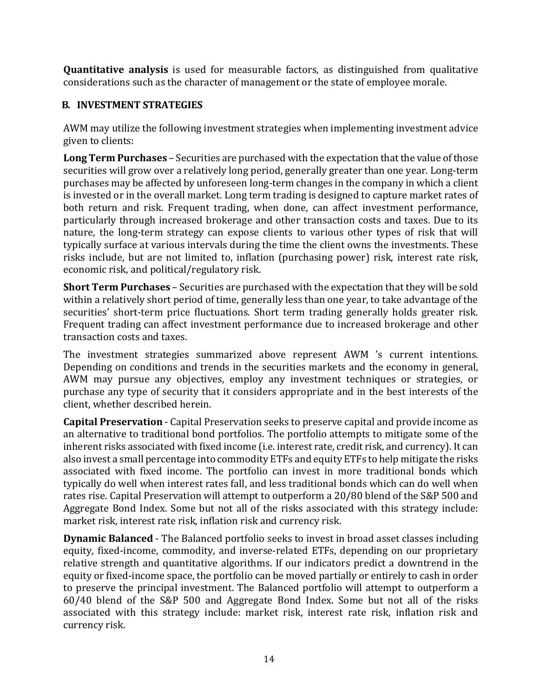**Quantitative analysis** is used for measurable factors, as distinguished from qualitative considerations such as the character of management or the state of employee morale.

### <span id="page-13-0"></span>**B. INVESTMENT STRATEGIES**

AWM may utilize the following investment strategies when implementing investment advice given to clients:

**Long Term Purchases** – Securities are purchased with the expectation that the value of those securities will grow over a relatively long period, generally greater than one year. Long-term purchases may be affected by unforeseen long-term changes in the company in which a client is invested or in the overall market. Long term trading is designed to capture market rates of both return and risk. Frequent trading, when done, can affect investment performance, particularly through increased brokerage and other transaction costs and taxes. Due to its nature, the long-term strategy can expose clients to various other types of risk that will typically surface at various intervals during the time the client owns the investments. These risks include, but are not limited to, inflation (purchasing power) risk, interest rate risk, economic risk, and political/regulatory risk.

**Short Term Purchases** – Securities are purchased with the expectation that they will be sold within a relatively short period of time, generally less than one year, to take advantage of the securities' short-term price fluctuations. Short term trading generally holds greater risk. Frequent trading can affect investment performance due to increased brokerage and other transaction costs and taxes.

The investment strategies summarized above represent AWM 's current intentions. Depending on conditions and trends in the securities markets and the economy in general, AWM may pursue any objectives, employ any investment techniques or strategies, or purchase any type of security that it considers appropriate and in the best interests of the client, whether described herein.

**Capital Preservation** - Capital Preservation seeks to preserve capital and provide income as an alternative to traditional bond portfolios. The portfolio attempts to mitigate some of the inherent risks associated with fixed income (i.e. interest rate, credit risk, and currency). It can also invest a small percentage into commodity ETFs and equity ETFs to help mitigate the risks associated with fixed income. The portfolio can invest in more traditional bonds which typically do well when interest rates fall, and less traditional bonds which can do well when rates rise. Capital Preservation will attempt to outperform a 20/80 blend of the S&P 500 and Aggregate Bond Index. Some but not all of the risks associated with this strategy include: market risk, interest rate risk, inflation risk and currency risk.

**Dynamic Balanced** - The Balanced portfolio seeks to invest in broad asset classes including equity, fixed-income, commodity, and inverse-related ETFs, depending on our proprietary relative strength and quantitative algorithms. If our indicators predict a downtrend in the equity or fixed-income space, the portfolio can be moved partially or entirely to cash in order to preserve the principal investment. The Balanced portfolio will attempt to outperform a 60/40 blend of the S&P 500 and Aggregate Bond Index. Some but not all of the risks associated with this strategy include: market risk, interest rate risk, inflation risk and currency risk.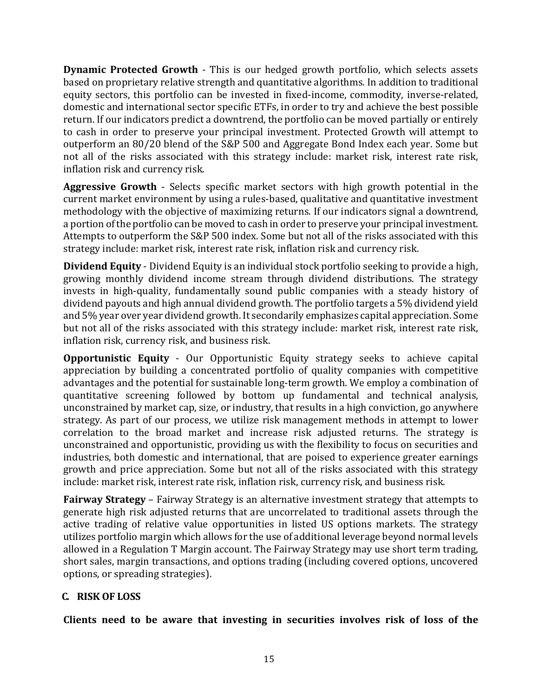**Dynamic Protected Growth** - This is our hedged growth portfolio, which selects assets based on proprietary relative strength and quantitative algorithms. In addition to traditional equity sectors, this portfolio can be invested in fixed-income, commodity, inverse-related, domestic and international sector specific ETFs, in order to try and achieve the best possible return. If our indicators predict a downtrend, the portfolio can be moved partially or entirely to cash in order to preserve your principal investment. Protected Growth will attempt to outperform an 80/20 blend of the S&P 500 and Aggregate Bond Index each year. Some but not all of the risks associated with this strategy include: market risk, interest rate risk, inflation risk and currency risk.

**Aggressive Growth** - Selects specific market sectors with high growth potential in the current market environment by using a rules-based, qualitative and quantitative investment methodology with the objective of maximizing returns. If our indicators signal a downtrend, a portion of the portfolio can be moved to cash in order to preserve your principal investment. Attempts to outperform the S&P 500 index. Some but not all of the risks associated with this strategy include: market risk, interest rate risk, inflation risk and currency risk.

**Dividend Equity** - Dividend Equity is an individual stock portfolio seeking to provide a high, growing monthly dividend income stream through dividend distributions. The strategy invests in high-quality, fundamentally sound public companies with a steady history of dividend payouts and high annual dividend growth. The portfolio targets a 5% dividend yield and 5% year over year dividend growth. It secondarily emphasizes capital appreciation. Some but not all of the risks associated with this strategy include: market risk, interest rate risk, inflation risk, currency risk, and business risk.

**Opportunistic Equity** - Our Opportunistic Equity strategy seeks to achieve capital appreciation by building a concentrated portfolio of quality companies with competitive advantages and the potential for sustainable long-term growth. We employ a combination of quantitative screening followed by bottom up fundamental and technical analysis, unconstrained by market cap, size, or industry, that results in a high conviction, go anywhere strategy. As part of our process, we utilize risk management methods in attempt to lower correlation to the broad market and increase risk adjusted returns. The strategy is unconstrained and opportunistic, providing us with the flexibility to focus on securities and industries, both domestic and international, that are poised to experience greater earnings growth and price appreciation. Some but not all of the risks associated with this strategy include: market risk, interest rate risk, inflation risk, currency risk, and business risk.

**Fairway Strategy** – Fairway Strategy is an alternative investment strategy that attempts to generate high risk adjusted returns that are uncorrelated to traditional assets through the active trading of relative value opportunities in listed US options markets. The strategy utilizes portfolio margin which allows for the use of additional leverage beyond normal levels allowed in a Regulation T Margin account. The Fairway Strategy may use short term trading, short sales, margin transactions, and options trading (including covered options, uncovered options, or spreading strategies).

### <span id="page-14-0"></span>**C. RISK OF LOSS**

**Clients need to be aware that investing in securities involves risk of loss of the**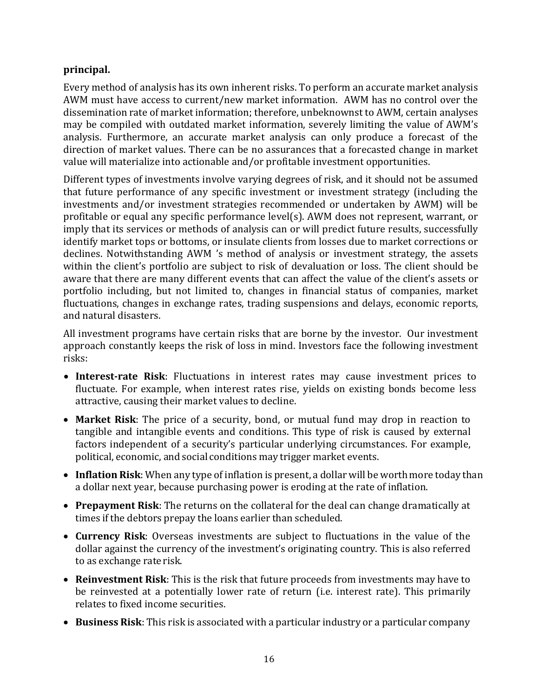### **principal.**

Every method of analysis has its own inherent risks. To perform an accurate market analysis AWM must have access to current/new market information. AWM has no control over the dissemination rate of market information; therefore, unbeknownst to AWM, certain analyses may be compiled with outdated market information, severely limiting the value of AWM's analysis. Furthermore, an accurate market analysis can only produce a forecast of the direction of market values. There can be no assurances that a forecasted change in market value will materialize into actionable and/or profitable investment opportunities.

Different types of investments involve varying degrees of risk, and it should not be assumed that future performance of any specific investment or investment strategy (including the investments and/or investment strategies recommended or undertaken by AWM) will be profitable or equal any specific performance level(s). AWM does not represent, warrant, or imply that its services or methods of analysis can or will predict future results, successfully identify market tops or bottoms, or insulate clients from losses due to market corrections or declines. Notwithstanding AWM 's method of analysis or investment strategy, the assets within the client's portfolio are subject to risk of devaluation or loss. The client should be aware that there are many different events that can affect the value of the client's assets or portfolio including, but not limited to, changes in financial status of companies, market fluctuations, changes in exchange rates, trading suspensions and delays, economic reports, and natural disasters.

All investment programs have certain risks that are borne by the investor. Our investment approach constantly keeps the risk of loss in mind. Investors face the following investment risks:

- **Interest-rate Risk**: Fluctuations in interest rates may cause investment prices to fluctuate. For example, when interest rates rise, yields on existing bonds become less attractive, causing their market values to decline.
- **Market Risk**: The price of a security, bond, or mutual fund may drop in reaction to tangible and intangible events and conditions. This type of risk is caused by external factors independent of a security's particular underlying circumstances. For example, political, economic, and social conditions may trigger market events.
- Inflation Risk: When any type of inflation is present, a dollar will be worth more today than a dollar next year, because purchasing power is eroding at the rate of inflation.
- **Prepayment Risk**: The returns on the collateral for the deal can change dramatically at times if the debtors prepay the loans earlier than scheduled.
- **Currency Risk**: Overseas investments are subject to fluctuations in the value of the dollar against the currency of the investment's originating country. This is also referred to as exchange rate risk.
- **Reinvestment Risk**: This is the risk that future proceeds from investments may have to be reinvested at a potentially lower rate of return (i.e. interest rate). This primarily relates to fixed income securities.
- **Business Risk**: This risk is associated with a particular industry or a particular company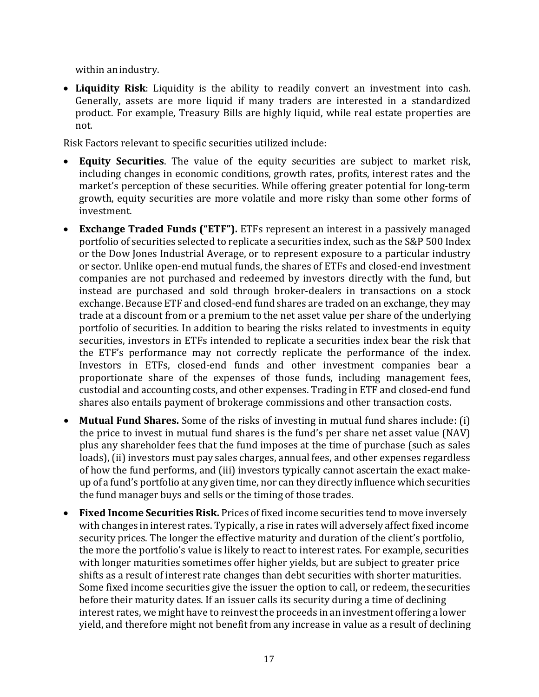within anindustry.

• **Liquidity Risk**: Liquidity is the ability to readily convert an investment into cash. Generally, assets are more liquid if many traders are interested in a standardized product. For example, Treasury Bills are highly liquid, while real estate properties are not.

Risk Factors relevant to specific securities utilized include:

- **Equity Securities**. The value of the equity securities are subject to market risk, including changes in economic conditions, growth rates, profits, interest rates and the market's perception of these securities. While offering greater potential for long-term growth, equity securities are more volatile and more risky than some other forms of investment.
- **Exchange Traded Funds ("ETF").** ETFs represent an interest in a passively managed portfolio of securities selected to replicate a securities index, such as the S&P 500 Index or the Dow Jones Industrial Average, or to represent exposure to a particular industry or sector. Unlike open-end mutual funds, the shares of ETFs and closed-end investment companies are not purchased and redeemed by investors directly with the fund, but instead are purchased and sold through broker-dealers in transactions on a stock exchange. Because ETF and closed-end fund shares are traded on an exchange, they may trade at a discount from or a premium to the net asset value per share of the underlying portfolio of securities. In addition to bearing the risks related to investments in equity securities, investors in ETFs intended to replicate a securities index bear the risk that the ETF's performance may not correctly replicate the performance of the index. Investors in ETFs, closed-end funds and other investment companies bear a proportionate share of the expenses of those funds, including management fees, custodial and accounting costs, and other expenses. Trading in ETF and closed-end fund shares also entails payment of brokerage commissions and other transaction costs.
- **Mutual Fund Shares.** Some of the risks of investing in mutual fund shares include: (i) the price to invest in mutual fund shares is the fund's per share net asset value (NAV) plus any shareholder fees that the fund imposes at the time of purchase (such as sales loads), (ii) investors must pay sales charges, annual fees, and other expenses regardless of how the fund performs, and (iii) investors typically cannot ascertain the exact makeup of a fund's portfolio at any given time, nor can they directly influence which securities the fund manager buys and sells or the timing of those trades.
- **Fixed Income Securities Risk.** Prices of fixed income securities tend to move inversely with changes in interest rates. Typically, a rise in rates will adversely affect fixed income security prices. The longer the effective maturity and duration of the client's portfolio, the more the portfolio's value is likely to react to interest rates. For example, securities with longer maturities sometimes offer higher yields, but are subject to greater price shifts as a result of interest rate changes than debt securities with shorter maturities. Some fixed income securities give the issuer the option to call, or redeem, thesecurities before their maturity dates. If an issuer calls its security during a time of declining interest rates, we might have to reinvest the proceeds in an investment offering a lower yield, and therefore might not benefit from any increase in value as a result of declining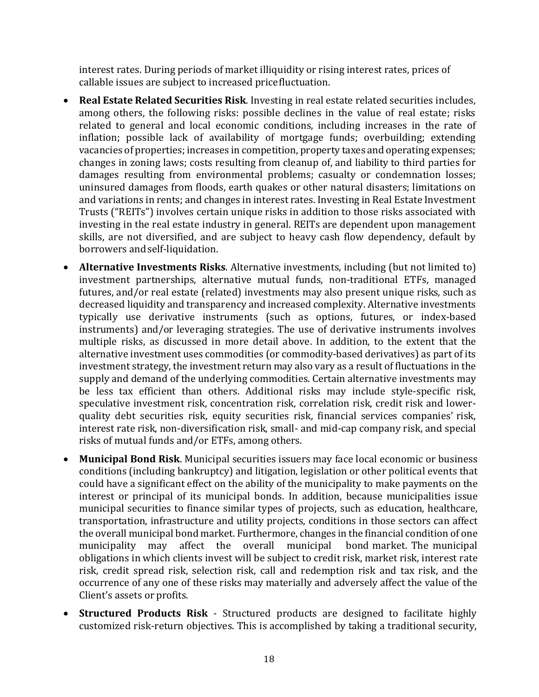interest rates. During periods of market illiquidity or rising interest rates, prices of callable issues are subject to increased pricefluctuation.

- **Real Estate Related Securities Risk**. Investing in real estate related securities includes, among others, the following risks: possible declines in the value of real estate; risks related to general and local economic conditions, including increases in the rate of inflation; possible lack of availability of mortgage funds; overbuilding; extending vacancies of properties; increases in competition, property taxes and operating expenses; changes in zoning laws; costs resulting from cleanup of, and liability to third parties for damages resulting from environmental problems; casualty or condemnation losses; uninsured damages from floods, earth quakes or other natural disasters; limitations on and variations in rents; and changes in interest rates. Investing in Real Estate Investment Trusts ("REITs") involves certain unique risks in addition to those risks associated with investing in the real estate industry in general. REITs are dependent upon management skills, are not diversified, and are subject to heavy cash flow dependency, default by borrowers andself-liquidation.
- **Alternative Investments Risks**. Alternative investments, including (but not limited to) investment partnerships, alternative mutual funds, non-traditional ETFs, managed futures, and/or real estate (related) investments may also present unique risks, such as decreased liquidity and transparency and increased complexity. Alternative investments typically use derivative instruments (such as options, futures, or index-based instruments) and/or leveraging strategies. The use of derivative instruments involves multiple risks, as discussed in more detail above. In addition, to the extent that the alternative investment uses commodities (or commodity-based derivatives) as part of its investment strategy, the investment return may also vary as a result of fluctuations in the supply and demand of the underlying commodities. Certain alternative investments may be less tax efficient than others. Additional risks may include style-specific risk, speculative investment risk, concentration risk, correlation risk, credit risk and lowerquality debt securities risk, equity securities risk, financial services companies' risk, interest rate risk, non-diversification risk, small- and mid-cap company risk, and special risks of mutual funds and/or ETFs, among others.
- **Municipal Bond Risk**. Municipal securities issuers may face local economic or business conditions (including bankruptcy) and litigation, legislation or other political events that could have a significant effect on the ability of the municipality to make payments on the interest or principal of its municipal bonds. In addition, because municipalities issue municipal securities to finance similar types of projects, such as education, healthcare, transportation, infrastructure and utility projects, conditions in those sectors can affect the overall municipal bond market. Furthermore, changes in the financial condition of one<br>municipality may affect the overall municipal bond market. The municipal municipality may affect the overall municipal obligations in which clients invest will be subject to credit risk, market risk, interest rate risk, credit spread risk, selection risk, call and redemption risk and tax risk, and the occurrence of any one of these risks may materially and adversely affect the value of the Client's assets or profits.
- **Structured Products Risk**  Structured products are designed to facilitate highly customized risk-return objectives. This is accomplished by taking a traditional security,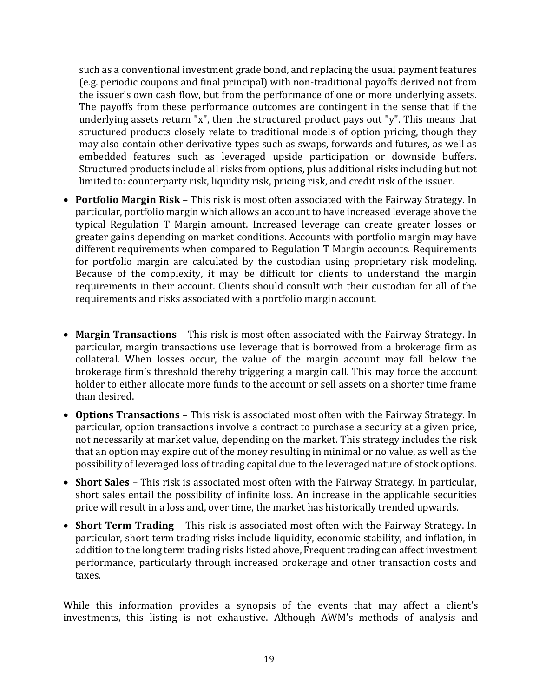such as a conventional investment grade bond, and replacing the usual payment features (e.g. periodic coupons and final principal) with non-traditional payoffs derived not from the issuer's own cash flow, but from the performance of one or more underlying assets. The payoffs from these performance outcomes are contingent in the sense that if the underlying assets return "x", then the structured product pays out "y". This means that structured products closely relate to traditional models of option pricing, though they may also contain other derivative types such as swaps, forwards and futures, as well as embedded features such as leveraged upside participation or downside buffers. Structured products include all risks from options, plus additional risks including but not limited to: counterparty risk, liquidity risk, pricing risk, and credit risk of the issuer.

- **Portfolio Margin Risk**  This risk is most often associated with the Fairway Strategy. In particular, portfolio margin which allows an account to have increased leverage above the typical Regulation T Margin amount. Increased leverage can create greater losses or greater gains depending on market conditions. Accounts with portfolio margin may have different requirements when compared to Regulation T Margin accounts. Requirements for portfolio margin are calculated by the custodian using proprietary risk modeling. Because of the complexity, it may be difficult for clients to understand the margin requirements in their account. Clients should consult with their custodian for all of the requirements and risks associated with a portfolio margin account.
- Margin Transactions This risk is most often associated with the Fairway Strategy. In particular, margin transactions use leverage that is borrowed from a brokerage firm as collateral. When losses occur, the value of the margin account may fall below the brokerage firm's threshold thereby triggering a margin call. This may force the account holder to either allocate more funds to the account or sell assets on a shorter time frame than desired.
- **Options Transactions**  This risk is associated most often with the Fairway Strategy. In particular, option transactions involve a contract to purchase a security at a given price, not necessarily at market value, depending on the market. This strategy includes the risk that an option may expire out of the money resulting in minimal or no value, as well as the possibility of leveraged loss of trading capital due to the leveraged nature of stock options.
- **Short Sales**  This risk is associated most often with the Fairway Strategy. In particular, short sales entail the possibility of infinite loss. An increase in the applicable securities price will result in a loss and, over time, the market has historically trended upwards.
- **Short Term Trading**  This risk is associated most often with the Fairway Strategy. In particular, short term trading risks include liquidity, economic stability, and inflation, in addition to the long term trading risks listed above, Frequent trading can affect investment performance, particularly through increased brokerage and other transaction costs and taxes.

While this information provides a synopsis of the events that may affect a client's investments, this listing is not exhaustive. Although AWM's methods of analysis and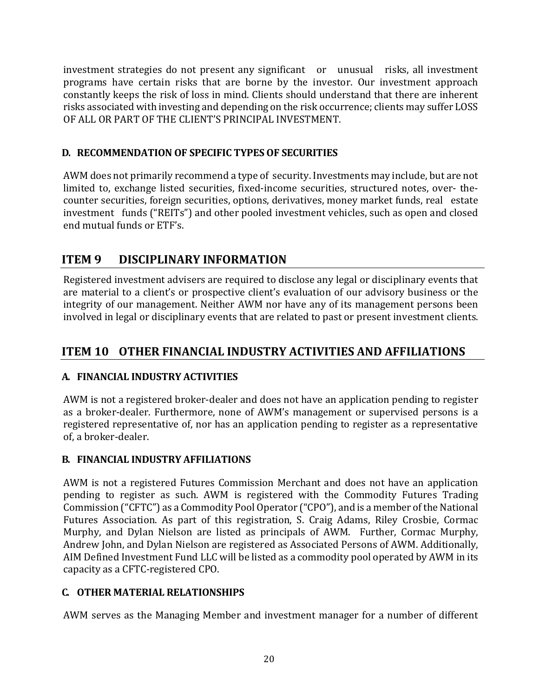investment strategies do not present any significant or unusual risks, all investment programs have certain risks that are borne by the investor. Our investment approach constantly keeps the risk of loss in mind. Clients should understand that there are inherent risks associated with investing and depending on the risk occurrence; clients may suffer LOSS OF ALL OR PART OF THE CLIENT'S PRINCIPAL INVESTMENT.

### <span id="page-19-0"></span>**D. RECOMMENDATION OF SPECIFIC TYPES OF SECURITIES**

AWM does not primarily recommend a type of security. Investments may include, but are not limited to, exchange listed securities, fixed-income securities, structured notes, over- thecounter securities, foreign securities, options, derivatives, money market funds, real estate investment funds ("REITs") and other pooled investment vehicles, such as open and closed end mutual funds or ETF's.

## <span id="page-19-1"></span>**ITEM 9 DISCIPLINARY INFORMATION**

Registered investment advisers are required to disclose any legal or disciplinary events that are material to a client's or prospective client's evaluation of our advisory business or the integrity of our management. Neither AWM nor have any of its management persons been involved in legal or disciplinary events that are related to past or present investment clients.

## <span id="page-19-2"></span>**ITEM 10 OTHER FINANCIAL INDUSTRY ACTIVITIES AND AFFILIATIONS**

### <span id="page-19-3"></span>**A. FINANCIAL INDUSTRY ACTIVITIES**

AWM is not a registered broker-dealer and does not have an application pending to register as a broker-dealer. Furthermore, none of AWM's management or supervised persons is a registered representative of, nor has an application pending to register as a representative of, a broker-dealer.

### <span id="page-19-4"></span>**B. FINANCIAL INDUSTRY AFFILIATIONS**

AWM is not a registered Futures Commission Merchant and does not have an application pending to register as such. AWM is registered with the Commodity Futures Trading Commission ("CFTC") as a Commodity Pool Operator ("CPO"), and is a member of the National Futures Association. As part of this registration, S. Craig Adams, Riley Crosbie, Cormac Murphy, and Dylan Nielson are listed as principals of AWM. Further, Cormac Murphy, Andrew John, and Dylan Nielson are registered as Associated Persons of AWM. Additionally, AIM Defined Investment Fund LLC will be listed as a commodity pool operated by AWM in its capacity as a CFTC-registered CPO.

### <span id="page-19-5"></span>**C. OTHER MATERIAL RELATIONSHIPS**

AWM serves as the Managing Member and investment manager for a number of different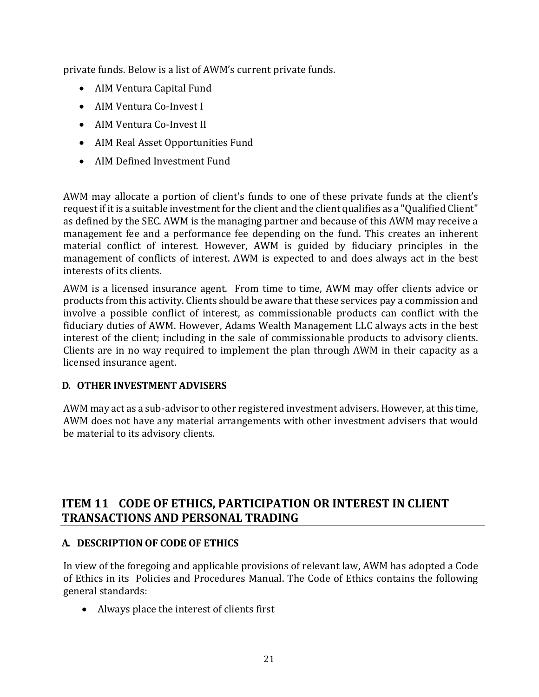private funds. Below is a list of AWM's current private funds.

- AIM Ventura Capital Fund
- AIM Ventura Co-Invest I
- AIM Ventura Co-Invest II
- AIM Real Asset Opportunities Fund
- AIM Defined Investment Fund

AWM may allocate a portion of client's funds to one of these private funds at the client's request if it is a suitable investment for the client and the client qualifies as a "Qualified Client" as defined by the SEC. AWM is the managing partner and because of this AWM may receive a management fee and a performance fee depending on the fund. This creates an inherent material conflict of interest. However, AWM is guided by fiduciary principles in the management of conflicts of interest. AWM is expected to and does always act in the best interests of its clients.

AWM is a licensed insurance agent. From time to time, AWM may offer clients advice or products from this activity. Clients should be aware that these services pay a commission and involve a possible conflict of interest, as commissionable products can conflict with the fiduciary duties of AWM. However, Adams Wealth Management LLC always acts in the best interest of the client; including in the sale of commissionable products to advisory clients. Clients are in no way required to implement the plan through AWM in their capacity as a licensed insurance agent.

### <span id="page-20-0"></span>**D. OTHER INVESTMENT ADVISERS**

AWM may act as a sub-advisor to other registered investment advisers. However, at this time, AWM does not have any material arrangements with other investment advisers that would be material to its advisory clients.

### <span id="page-20-1"></span>**ITEM 11 CODE OF ETHICS, PARTICIPATION OR INTEREST IN CLIENT TRANSACTIONS AND PERSONAL TRADING**

### <span id="page-20-2"></span>**A. DESCRIPTION OF CODE OF ETHICS**

In view of the foregoing and applicable provisions of relevant law, AWM has adopted a Code of Ethics in its Policies and Procedures Manual. The Code of Ethics contains the following general standards:

• Always place the interest of clients first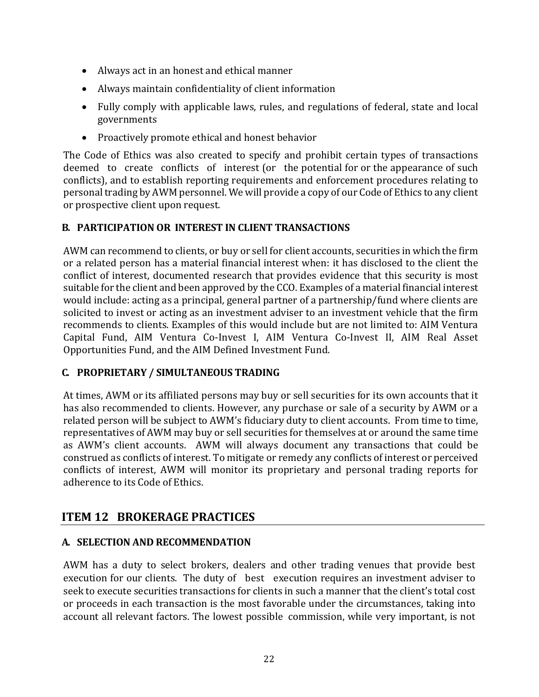- Always act in an honest and ethical manner
- Always maintain confidentiality of client information
- Fully comply with applicable laws, rules, and regulations of federal, state and local governments
- Proactively promote ethical and honest behavior

The Code of Ethics was also created to specify and prohibit certain types of transactions deemed to create conflicts of interest (or the potential for or the appearance of such conflicts), and to establish reporting requirements and enforcement procedures relating to personal trading by AWM personnel. We will provide a copy of our Code of Ethics to any client or prospective client upon request.

### <span id="page-21-0"></span>**B. PARTICIPATION OR INTEREST IN CLIENT TRANSACTIONS**

AWM can recommend to clients, or buy or sell for client accounts, securities in which the firm or a related person has a material financial interest when: it has disclosed to the client the conflict of interest, documented research that provides evidence that this security is most suitable for the client and been approved by the CCO. Examples of a material financial interest would include: acting as a principal, general partner of a partnership/fund where clients are solicited to invest or acting as an investment adviser to an investment vehicle that the firm recommends to clients. Examples of this would include but are not limited to: AIM Ventura Capital Fund, AIM Ventura Co-Invest I, AIM Ventura Co-Invest II, AIM Real Asset Opportunities Fund, and the AIM Defined Investment Fund.

### <span id="page-21-1"></span>**C. PROPRIETARY / SIMULTANEOUS TRADING**

At times, AWM or its affiliated persons may buy or sell securities for its own accounts that it has also recommended to clients. However, any purchase or sale of a security by AWM or a related person will be subject to AWM's fiduciary duty to client accounts. From time to time, representatives of AWM may buy or sell securities for themselves at or around the same time as AWM's client accounts. AWM will always document any transactions that could be construed as conflicts of interest. To mitigate or remedy any conflicts of interest or perceived conflicts of interest, AWM will monitor its proprietary and personal trading reports for adherence to its Code of Ethics.

### <span id="page-21-2"></span>**ITEM 12 BROKERAGE PRACTICES**

### <span id="page-21-3"></span>**A. SELECTION AND RECOMMENDATION**

AWM has a duty to select brokers, dealers and other trading venues that provide best execution for our clients. The duty of best execution requires an investment adviser to seek to execute securities transactions for clients in such a manner that the client's total cost or proceeds in each transaction is the most favorable under the circumstances, taking into account all relevant factors. The lowest possible commission, while very important, is not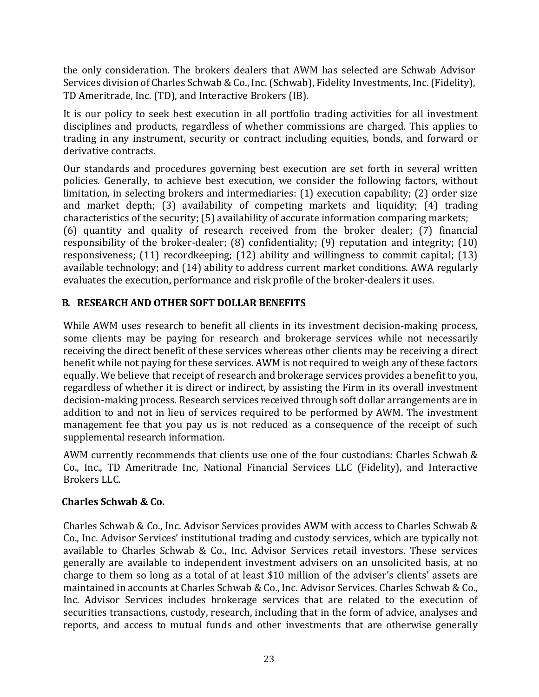the only consideration. The brokers dealers that AWM has selected are Schwab Advisor Services division of Charles Schwab & Co., Inc. (Schwab), Fidelity Investments, Inc. (Fidelity), TD Ameritrade, Inc. (TD), and Interactive Brokers (IB).

It is our policy to seek best execution in all portfolio trading activities for all investment disciplines and products, regardless of whether commissions are charged. This applies to trading in any instrument, security or contract including equities, bonds, and forward or derivative contracts.

Our standards and procedures governing best execution are set forth in several written policies. Generally, to achieve best execution, we consider the following factors, without limitation, in selecting brokers and intermediaries: (1) execution capability; (2) order size and market depth; (3) availability of competing markets and liquidity; (4) trading characteristics of the security; (5) availability of accurate information comparing markets; (6) quantity and quality of research received from the broker dealer; (7) financial responsibility of the broker-dealer; (8) confidentiality; (9) reputation and integrity; (10) responsiveness; (11) recordkeeping; (12) ability and willingness to commit capital; (13) available technology; and (14) ability to address current market conditions. AWA regularly evaluates the execution, performance and risk profile of the broker-dealers it uses.

### <span id="page-22-0"></span>**B. RESEARCH AND OTHER SOFT DOLLAR BENEFITS**

While AWM uses research to benefit all clients in its investment decision-making process, some clients may be paying for research and brokerage services while not necessarily receiving the direct benefit of these services whereas other clients may be receiving a direct benefit while not paying for these services. AWM is not required to weigh any of these factors equally. We believe that receipt of research and brokerage services provides a benefit to you, regardless of whether it is direct or indirect, by assisting the Firm in its overall investment decision-making process. Research services received through soft dollar arrangements are in addition to and not in lieu of services required to be performed by AWM. The investment management fee that you pay us is not reduced as a consequence of the receipt of such supplemental research information.

AWM currently recommends that clients use one of the four custodians: Charles Schwab & Co., Inc., TD Ameritrade Inc, National Financial Services LLC (Fidelity), and Interactive Brokers LLC.

### **Charles Schwab & Co.**

Charles Schwab & Co., Inc. Advisor Services provides AWM with access to Charles Schwab & Co., Inc. Advisor Services' institutional trading and custody services, which are typically not available to Charles Schwab & Co., Inc. Advisor Services retail investors. These services generally are available to independent investment advisers on an unsolicited basis, at no charge to them so long as a total of at least \$10 million of the adviser's clients' assets are maintained in accounts at Charles Schwab & Co., Inc. Advisor Services. Charles Schwab & Co., Inc. Advisor Services includes brokerage services that are related to the execution of securities transactions, custody, research, including that in the form of advice, analyses and reports, and access to mutual funds and other investments that are otherwise generally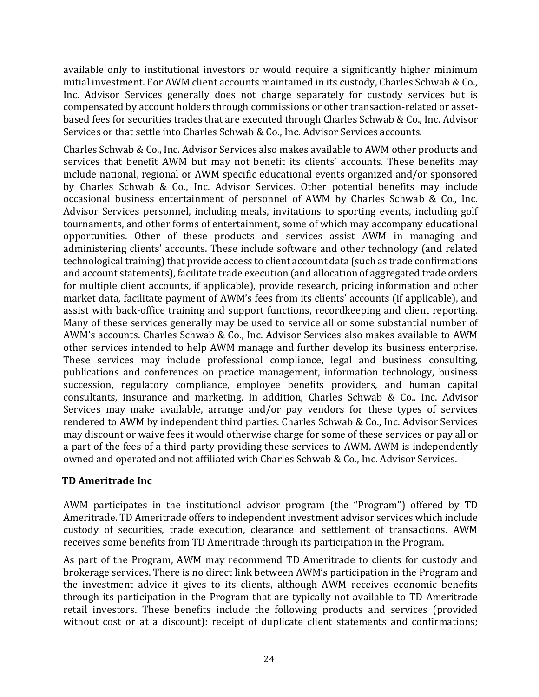available only to institutional investors or would require a significantly higher minimum initial investment. For AWM client accounts maintained in its custody, Charles Schwab & Co., Inc. Advisor Services generally does not charge separately for custody services but is compensated by account holders through commissions or other transaction-related or assetbased fees for securities trades that are executed through Charles Schwab & Co., Inc. Advisor Services or that settle into Charles Schwab & Co., Inc. Advisor Services accounts.

Charles Schwab & Co., Inc. Advisor Services also makes available to AWM other products and services that benefit AWM but may not benefit its clients' accounts. These benefits may include national, regional or AWM specific educational events organized and/or sponsored by Charles Schwab & Co., Inc. Advisor Services. Other potential benefits may include occasional business entertainment of personnel of AWM by Charles Schwab & Co., Inc. Advisor Services personnel, including meals, invitations to sporting events, including golf tournaments, and other forms of entertainment, some of which may accompany educational opportunities. Other of these products and services assist AWM in managing and administering clients' accounts. These include software and other technology (and related technological training) that provide access to client account data (such as trade confirmations and account statements), facilitate trade execution (and allocation of aggregated trade orders for multiple client accounts, if applicable), provide research, pricing information and other market data, facilitate payment of AWM's fees from its clients' accounts (if applicable), and assist with back-office training and support functions, recordkeeping and client reporting. Many of these services generally may be used to service all or some substantial number of AWM's accounts. Charles Schwab & Co., Inc. Advisor Services also makes available to AWM other services intended to help AWM manage and further develop its business enterprise. These services may include professional compliance, legal and business consulting, publications and conferences on practice management, information technology, business succession, regulatory compliance, employee benefits providers, and human capital consultants, insurance and marketing. In addition, Charles Schwab & Co., Inc. Advisor Services may make available, arrange and/or pay vendors for these types of services rendered to AWM by independent third parties. Charles Schwab & Co., Inc. Advisor Services may discount or waive fees it would otherwise charge for some of these services or pay all or a part of the fees of a third-party providing these services to AWM. AWM is independently owned and operated and not affiliated with Charles Schwab & Co., Inc. Advisor Services.

### **TD Ameritrade Inc**

AWM participates in the institutional advisor program (the "Program") offered by TD Ameritrade. TD Ameritrade offers to independent investment advisor services which include custody of securities, trade execution, clearance and settlement of transactions. AWM receives some benefits from TD Ameritrade through its participation in the Program.

As part of the Program, AWM may recommend TD Ameritrade to clients for custody and brokerage services. There is no direct link between AWM's participation in the Program and the investment advice it gives to its clients, although AWM receives economic benefits through its participation in the Program that are typically not available to TD Ameritrade retail investors. These benefits include the following products and services (provided without cost or at a discount): receipt of duplicate client statements and confirmations;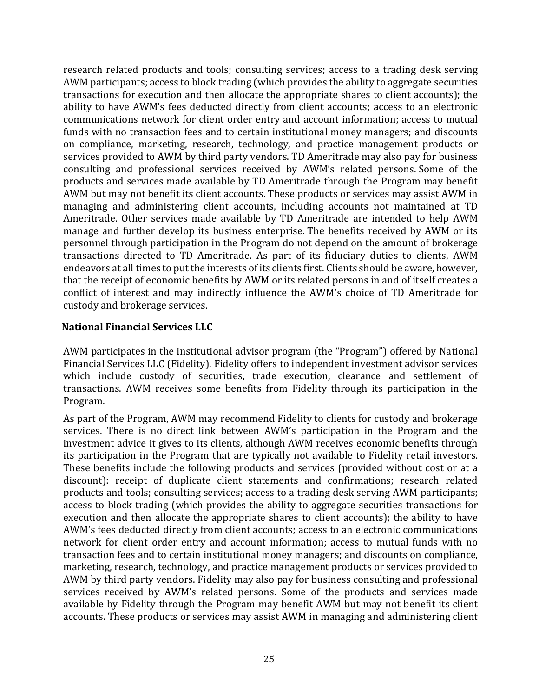research related products and tools; consulting services; access to a trading desk serving AWM participants; access to block trading (which provides the ability to aggregate securities transactions for execution and then allocate the appropriate shares to client accounts); the ability to have AWM's fees deducted directly from client accounts; access to an electronic communications network for client order entry and account information; access to mutual funds with no transaction fees and to certain institutional money managers; and discounts on compliance, marketing, research, technology, and practice management products or services provided to AWM by third party vendors. TD Ameritrade may also pay for business consulting and professional services received by AWM's related persons. Some of the products and services made available by TD Ameritrade through the Program may benefit AWM but may not benefit its client accounts. These products or services may assist AWM in managing and administering client accounts, including accounts not maintained at TD Ameritrade. Other services made available by TD Ameritrade are intended to help AWM manage and further develop its business enterprise. The benefits received by AWM or its personnel through participation in the Program do not depend on the amount of brokerage transactions directed to TD Ameritrade. As part of its fiduciary duties to clients, AWM endeavors at all times to put the interests of its clients first. Clients should be aware, however, that the receipt of economic benefits by AWM or its related persons in and of itself creates a conflict of interest and may indirectly influence the AWM's choice of TD Ameritrade for custody and brokerage services.

#### **National Financial Services LLC**

AWM participates in the institutional advisor program (the "Program") offered by National Financial Services LLC (Fidelity). Fidelity offers to independent investment advisor services which include custody of securities, trade execution, clearance and settlement of transactions. AWM receives some benefits from Fidelity through its participation in the Program.

As part of the Program, AWM may recommend Fidelity to clients for custody and brokerage services. There is no direct link between AWM's participation in the Program and the investment advice it gives to its clients, although AWM receives economic benefits through its participation in the Program that are typically not available to Fidelity retail investors. These benefits include the following products and services (provided without cost or at a discount): receipt of duplicate client statements and confirmations; research related products and tools; consulting services; access to a trading desk serving AWM participants; access to block trading (which provides the ability to aggregate securities transactions for execution and then allocate the appropriate shares to client accounts); the ability to have AWM's fees deducted directly from client accounts; access to an electronic communications network for client order entry and account information; access to mutual funds with no transaction fees and to certain institutional money managers; and discounts on compliance, marketing, research, technology, and practice management products or services provided to AWM by third party vendors. Fidelity may also pay for business consulting and professional services received by AWM's related persons. Some of the products and services made available by Fidelity through the Program may benefit AWM but may not benefit its client accounts. These products or services may assist AWM in managing and administering client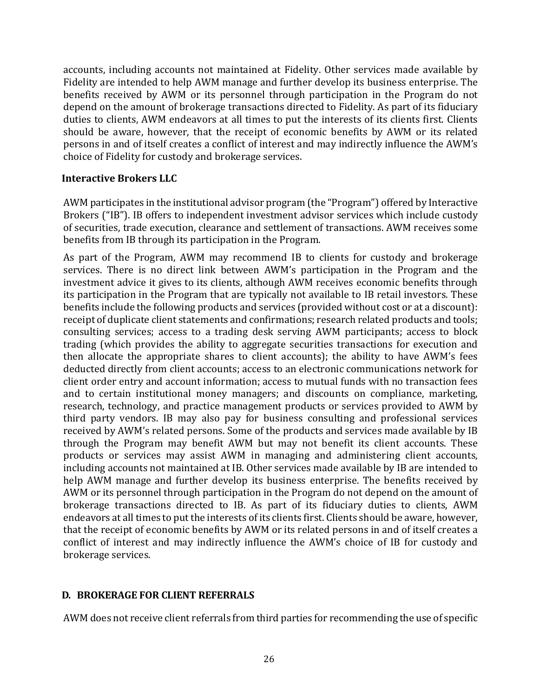accounts, including accounts not maintained at Fidelity. Other services made available by Fidelity are intended to help AWM manage and further develop its business enterprise. The benefits received by AWM or its personnel through participation in the Program do not depend on the amount of brokerage transactions directed to Fidelity. As part of its fiduciary duties to clients, AWM endeavors at all times to put the interests of its clients first. Clients should be aware, however, that the receipt of economic benefits by AWM or its related persons in and of itself creates a conflict of interest and may indirectly influence the AWM's choice of Fidelity for custody and brokerage services.

#### **Interactive Brokers LLC**

AWM participates in the institutional advisor program (the "Program") offered by Interactive Brokers ("IB"). IB offers to independent investment advisor services which include custody of securities, trade execution, clearance and settlement of transactions. AWM receives some benefits from IB through its participation in the Program.

As part of the Program, AWM may recommend IB to clients for custody and brokerage services. There is no direct link between AWM's participation in the Program and the investment advice it gives to its clients, although AWM receives economic benefits through its participation in the Program that are typically not available to IB retail investors. These benefits include the following products and services (provided without cost or at a discount): receipt of duplicate client statements and confirmations; research related products and tools; consulting services; access to a trading desk serving AWM participants; access to block trading (which provides the ability to aggregate securities transactions for execution and then allocate the appropriate shares to client accounts); the ability to have AWM's fees deducted directly from client accounts; access to an electronic communications network for client order entry and account information; access to mutual funds with no transaction fees and to certain institutional money managers; and discounts on compliance, marketing, research, technology, and practice management products or services provided to AWM by third party vendors. IB may also pay for business consulting and professional services received by AWM's related persons. Some of the products and services made available by IB through the Program may benefit AWM but may not benefit its client accounts. These products or services may assist AWM in managing and administering client accounts, including accounts not maintained at IB. Other services made available by IB are intended to help AWM manage and further develop its business enterprise. The benefits received by AWM or its personnel through participation in the Program do not depend on the amount of brokerage transactions directed to IB. As part of its fiduciary duties to clients, AWM endeavors at all times to put the interests of its clients first. Clients should be aware, however, that the receipt of economic benefits by AWM or its related persons in and of itself creates a conflict of interest and may indirectly influence the AWM's choice of IB for custody and brokerage services.

#### <span id="page-25-0"></span>**D. BROKERAGE FOR CLIENT REFERRALS**

AWM does not receive client referrals from third parties for recommending the use of specific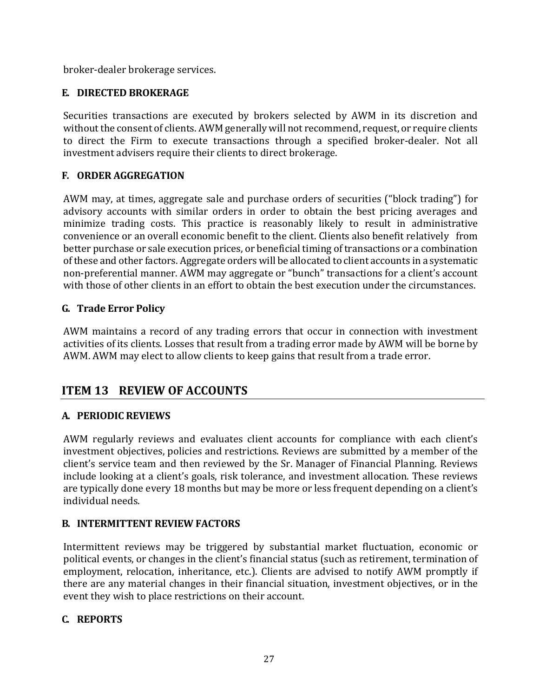broker-dealer brokerage services.

### <span id="page-26-0"></span>**E. DIRECTED BROKERAGE**

Securities transactions are executed by brokers selected by AWM in its discretion and without the consent of clients. AWM generally will not recommend, request, or require clients to direct the Firm to execute transactions through a specified broker-dealer. Not all investment advisers require their clients to direct brokerage.

### <span id="page-26-1"></span>**F. ORDER AGGREGATION**

AWM may, at times, aggregate sale and purchase orders of securities ("block trading") for advisory accounts with similar orders in order to obtain the best pricing averages and minimize trading costs. This practice is reasonably likely to result in administrative convenience or an overall economic benefit to the client. Clients also benefit relatively from better purchase or sale execution prices, or beneficial timing of transactions or a combination of these and other factors. Aggregate orders will be allocated to client accounts in a systematic non-preferential manner. AWM may aggregate or "bunch" transactions for a client's account with those of other clients in an effort to obtain the best execution under the circumstances.

### <span id="page-26-2"></span>**G. Trade Error Policy**

AWM maintains a record of any trading errors that occur in connection with investment activities of its clients. Losses that result from a trading error made by AWM will be borne by AWM. AWM may elect to allow clients to keep gains that result from a trade error.

## <span id="page-26-3"></span>**ITEM 13 REVIEW OF ACCOUNTS**

### <span id="page-26-4"></span>**A. PERIODIC REVIEWS**

AWM regularly reviews and evaluates client accounts for compliance with each client's investment objectives, policies and restrictions. Reviews are submitted by a member of the client's service team and then reviewed by the Sr. Manager of Financial Planning. Reviews include looking at a client's goals, risk tolerance, and investment allocation. These reviews are typically done every 18 months but may be more or less frequent depending on a client's individual needs.

### <span id="page-26-5"></span>**B. INTERMITTENT REVIEW FACTORS**

Intermittent reviews may be triggered by substantial market fluctuation, economic or political events, or changes in the client's financial status (such as retirement, termination of employment, relocation, inheritance, etc.). Clients are advised to notify AWM promptly if there are any material changes in their financial situation, investment objectives, or in the event they wish to place restrictions on their account.

### <span id="page-26-6"></span>**C. REPORTS**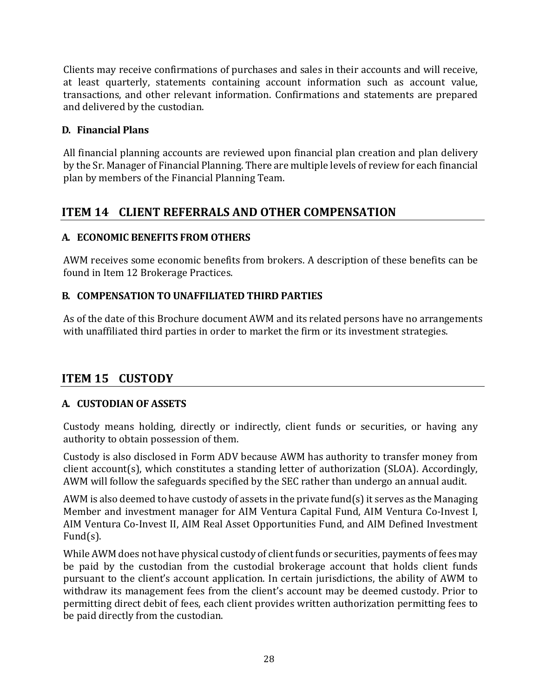Clients may receive confirmations of purchases and sales in their accounts and will receive, at least quarterly, statements containing account information such as account value, transactions, and other relevant information. Confirmations and statements are prepared and delivered by the custodian.

### <span id="page-27-0"></span>**D. Financial Plans**

All financial planning accounts are reviewed upon financial plan creation and plan delivery by the Sr. Manager of Financial Planning. There are multiple levels of review for each financial plan by members of the Financial Planning Team.

## <span id="page-27-1"></span>**ITEM 14 CLIENT REFERRALS AND OTHER COMPENSATION**

### <span id="page-27-2"></span>**A. ECONOMIC BENEFITS FROM OTHERS**

AWM receives some economic benefits from brokers. A description of these benefits can be found in Item 12 Brokerage Practices.

### <span id="page-27-3"></span>**B. COMPENSATION TO UNAFFILIATED THIRD PARTIES**

As of the date of this Brochure document AWM and its related persons have no arrangements with unaffiliated third parties in order to market the firm or its investment strategies.

### <span id="page-27-4"></span>**ITEM 15 CUSTODY**

### <span id="page-27-5"></span>**A. CUSTODIAN OF ASSETS**

Custody means holding, directly or indirectly, client funds or securities, or having any authority to obtain possession of them.

Custody is also disclosed in Form ADV because AWM has authority to transfer money from client account(s), which constitutes a standing letter of authorization (SLOA). Accordingly, AWM will follow the safeguards specified by the SEC rather than undergo an annual audit.

AWM is also deemed to have custody of assets in the private fund(s) it serves as the Managing Member and investment manager for AIM Ventura Capital Fund, AIM Ventura Co-Invest I, AIM Ventura Co-Invest II, AIM Real Asset Opportunities Fund, and AIM Defined Investment Fund(s).

While AWM does not have physical custody of client funds or securities, payments of fees may be paid by the custodian from the custodial brokerage account that holds client funds pursuant to the client's account application. In certain jurisdictions, the ability of AWM to withdraw its management fees from the client's account may be deemed custody. Prior to permitting direct debit of fees, each client provides written authorization permitting fees to be paid directly from the custodian.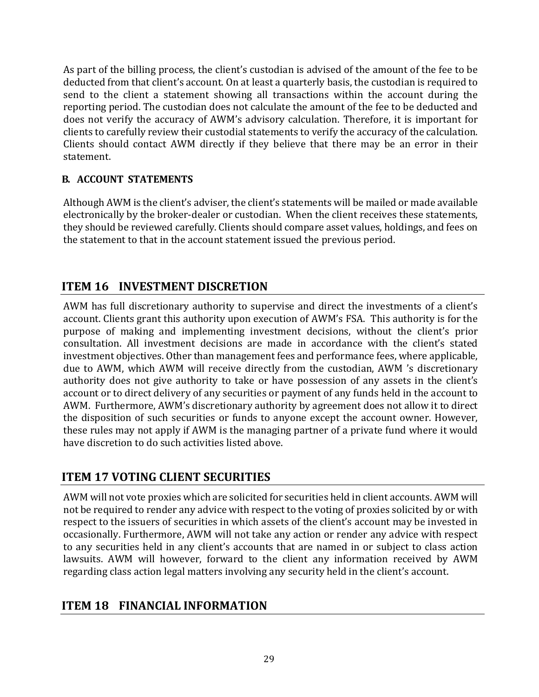As part of the billing process, the client's custodian is advised of the amount of the fee to be deducted from that client's account. On at least a quarterly basis, the custodian is required to send to the client a statement showing all transactions within the account during the reporting period. The custodian does not calculate the amount of the fee to be deducted and does not verify the accuracy of AWM's advisory calculation. Therefore, it is important for clients to carefully review their custodial statements to verify the accuracy of the calculation. Clients should contact AWM directly if they believe that there may be an error in their statement.

### <span id="page-28-0"></span>**B. ACCOUNT STATEMENTS**

Although AWM is the client's adviser, the client's statements will be mailed or made available electronically by the broker-dealer or custodian. When the client receives these statements, they should be reviewed carefully. Clients should compare asset values, holdings, and fees on the statement to that in the account statement issued the previous period.

### <span id="page-28-1"></span>**ITEM 16 INVESTMENT DISCRETION**

AWM has full discretionary authority to supervise and direct the investments of a client's account. Clients grant this authority upon execution of AWM's FSA. This authority is for the purpose of making and implementing investment decisions, without the client's prior consultation. All investment decisions are made in accordance with the client's stated investment objectives. Other than management fees and performance fees, where applicable, due to AWM, which AWM will receive directly from the custodian, AWM 's discretionary authority does not give authority to take or have possession of any assets in the client's account or to direct delivery of any securities or payment of any funds held in the account to AWM. Furthermore, AWM's discretionary authority by agreement does not allow it to direct the disposition of such securities or funds to anyone except the account owner. However, these rules may not apply if AWM is the managing partner of a private fund where it would have discretion to do such activities listed above.

### <span id="page-28-2"></span>**ITEM 17 VOTING CLIENT SECURITIES**

AWM will not vote proxies which are solicited for securities held in client accounts. AWM will not be required to render any advice with respect to the voting of proxies solicited by or with respect to the issuers of securities in which assets of the client's account may be invested in occasionally. Furthermore, AWM will not take any action or render any advice with respect to any securities held in any client's accounts that are named in or subject to class action lawsuits. AWM will however, forward to the client any information received by AWM regarding class action legal matters involving any security held in the client's account.

### <span id="page-28-3"></span>**ITEM 18 FINANCIAL INFORMATION**